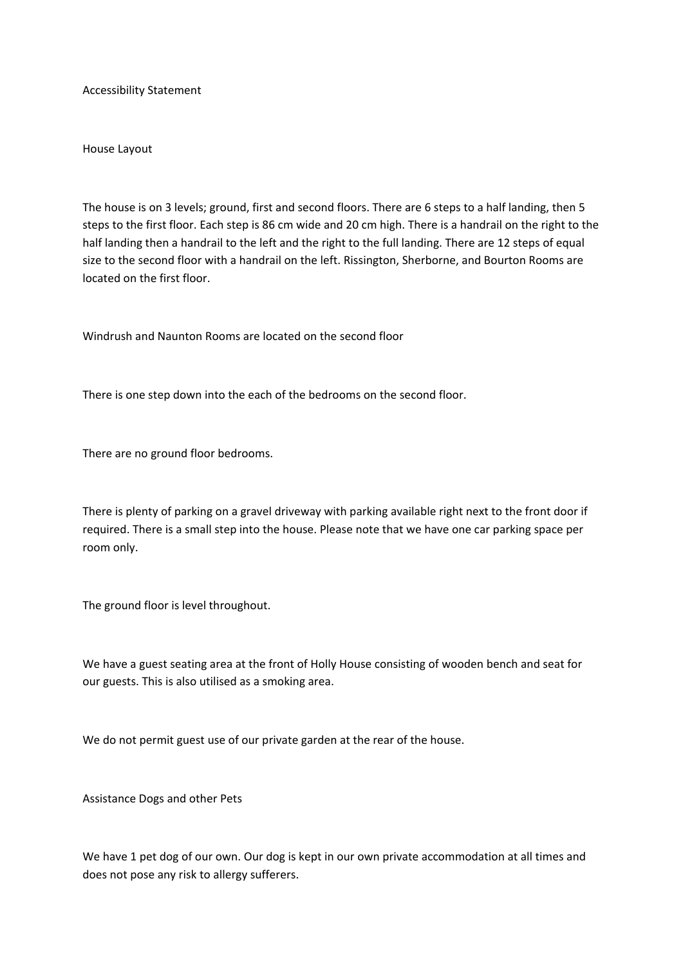Accessibility Statement

House Layout

The house is on 3 levels; ground, first and second floors. There are 6 steps to a half landing, then 5 steps to the first floor. Each step is 86 cm wide and 20 cm high. There is a handrail on the right to the half landing then a handrail to the left and the right to the full landing. There are 12 steps of equal size to the second floor with a handrail on the left. Rissington, Sherborne, and Bourton Rooms are located on the first floor.

Windrush and Naunton Rooms are located on the second floor

There is one step down into the each of the bedrooms on the second floor.

There are no ground floor bedrooms.

There is plenty of parking on a gravel driveway with parking available right next to the front door if required. There is a small step into the house. Please note that we have one car parking space per room only.

The ground floor is level throughout.

We have a guest seating area at the front of Holly House consisting of wooden bench and seat for our guests. This is also utilised as a smoking area.

We do not permit guest use of our private garden at the rear of the house.

Assistance Dogs and other Pets

We have 1 pet dog of our own. Our dog is kept in our own private accommodation at all times and does not pose any risk to allergy sufferers.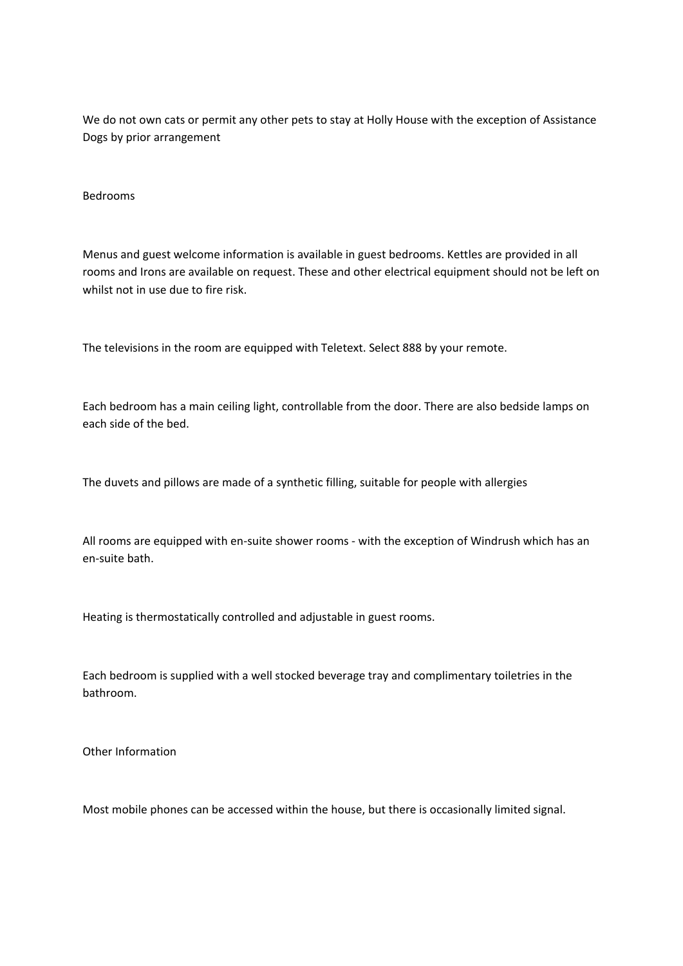We do not own cats or permit any other pets to stay at Holly House with the exception of Assistance Dogs by prior arrangement

## Bedrooms

Menus and guest welcome information is available in guest bedrooms. Kettles are provided in all rooms and Irons are available on request. These and other electrical equipment should not be left on whilst not in use due to fire risk.

The televisions in the room are equipped with Teletext. Select 888 by your remote.

Each bedroom has a main ceiling light, controllable from the door. There are also bedside lamps on each side of the bed.

The duvets and pillows are made of a synthetic filling, suitable for people with allergies

All rooms are equipped with en-suite shower rooms - with the exception of Windrush which has an en-suite bath.

Heating is thermostatically controlled and adjustable in guest rooms.

Each bedroom is supplied with a well stocked beverage tray and complimentary toiletries in the bathroom.

Other Information

Most mobile phones can be accessed within the house, but there is occasionally limited signal.